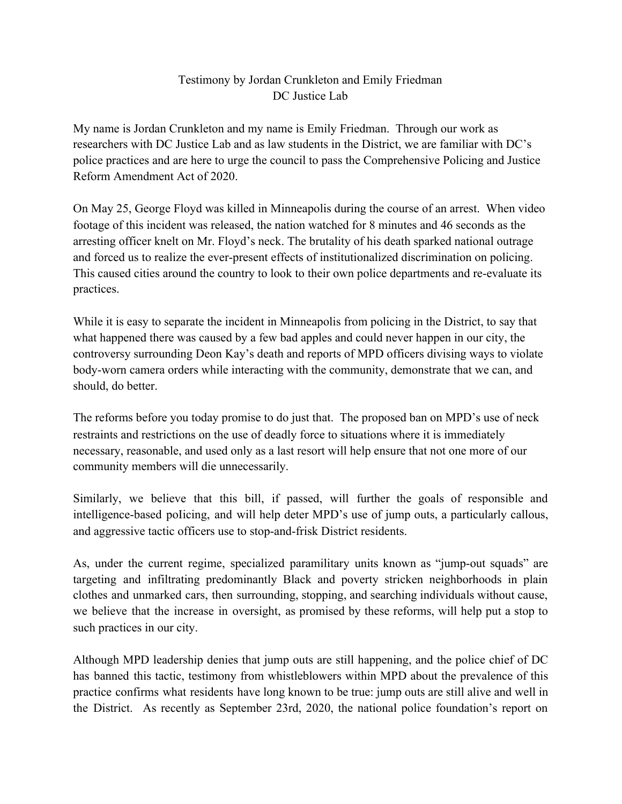## Testimony by Jordan Crunkleton and Emily Friedman DC Justice Lab

My name is Jordan Crunkleton and my name is Emily Friedman. Through our work as researchers with DC Justice Lab and as law students in the District, we are familiar with DC's police practices and are here to urge the council to pass the Comprehensive Policing and Justice Reform Amendment Act of 2020.

On May 25, George Floyd was killed in Minneapolis during the course of an arrest. When video footage of this incident was released, the nation watched for 8 minutes and 46 seconds as the arresting officer knelt on Mr. Floyd's neck. The brutality of his death sparked national outrage and forced us to realize the ever-present effects of institutionalized discrimination on policing. This caused cities around the country to look to their own police departments and re-evaluate its practices.

While it is easy to separate the incident in Minneapolis from policing in the District, to say that what happened there was caused by a few bad apples and could never happen in our city, the controversy surrounding Deon Kay's death and reports of MPD officers divising ways to violate body-worn camera orders while interacting with the community, demonstrate that we can, and should, do better.

The reforms before you today promise to do just that. The proposed ban on MPD's use of neck restraints and restrictions on the use of deadly force to situations where it is immediately necessary, reasonable, and used only as a last resort will help ensure that not one more of our community members will die unnecessarily.

Similarly, we believe that this bill, if passed, will further the goals of responsible and intelligence-based poIicing, and will help deter MPD's use of jump outs, a particularly callous, and aggressive tactic officers use to stop-and-frisk District residents.

As, under the current regime, specialized paramilitary units known as "jump-out squads" are targeting and infiltrating predominantly Black and poverty stricken neighborhoods in plain clothes and unmarked cars, then surrounding, stopping, and searching individuals without cause, we believe that the increase in oversight, as promised by these reforms, will help put a stop to such practices in our city.

Although MPD leadership denies that jump outs are still happening, and the police chief of DC has banned this tactic, testimony from whistleblowers within MPD about the prevalence of this practice confirms what residents have long known to be true: jump outs are still alive and well in the District. As recently as September 23rd, 2020, the national police foundation's report on